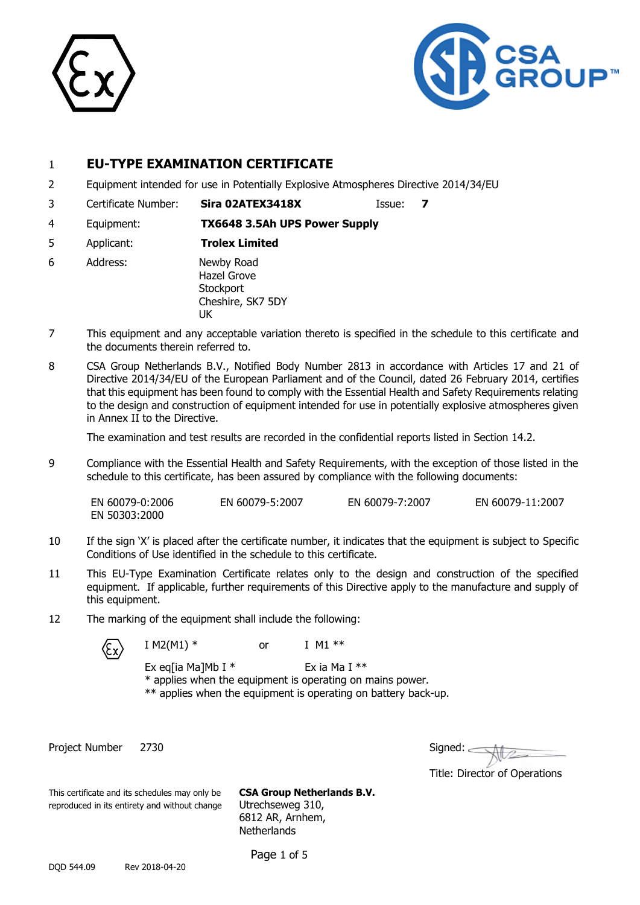



### 1 **EU-TYPE EXAMINATION CERTIFICATE**

- 2 Equipment intended for use in Potentially Explosive Atmospheres Directive 2014/34/EU
- 3 Certificate Number: **Sira 02ATEX3418X** Issue: **7**
	-
- 4 Equipment: **TX6648 3.5Ah UPS Power Supply**
- 5 Applicant: **Trolex Limited**
- 6 Address: Newby Road Hazel Grove **Stockport** Cheshire, SK7 5DY UK
- 7 This equipment and any acceptable variation thereto is specified in the schedule to this certificate and the documents therein referred to.
- 8 CSA Group Netherlands B.V., Notified Body Number 2813 in accordance with Articles 17 and 21 of Directive 2014/34/EU of the European Parliament and of the Council, dated 26 February 2014, certifies that this equipment has been found to comply with the Essential Health and Safety Requirements relating to the design and construction of equipment intended for use in potentially explosive atmospheres given in Annex II to the Directive.

The examination and test results are recorded in the confidential reports listed in Section 14.2.

9 Compliance with the Essential Health and Safety Requirements, with the exception of those listed in the schedule to this certificate, has been assured by compliance with the following documents:

EN 60079-0:2006 EN 60079-5:2007 EN 60079-7:2007 EN 60079-11:2007 EN 50303:2000

- 10 If the sign 'X' is placed after the certificate number, it indicates that the equipment is subject to Specific Conditions of Use identified in the schedule to this certificate.
- 11 This EU-Type Examination Certificate relates only to the design and construction of the specified equipment. If applicable, further requirements of this Directive apply to the manufacture and supply of this equipment.
- 12 The marking of the equipment shall include the following:

I M2(M1)  $*$ 



| or |  | I M1 $*$ |  |
|----|--|----------|--|
|    |  |          |  |

- Ex eq[ia Ma]Mb I  $*$  Ex ia Ma I  $**$ \* applies when the equipment is operating on mains power.
- \*\* applies when the equipment is operating on battery back-up.

Project Number 2730

| Signed: |  |
|---------|--|
|         |  |

Title: Director of Operations

This certificate and its schedules may only be **CSA Group Netherlands B.V.** reproduced in its entirety and without change Utrechseweg 310, 6812 AR, Arnhem, **Netherlands** 

Page 1 of 5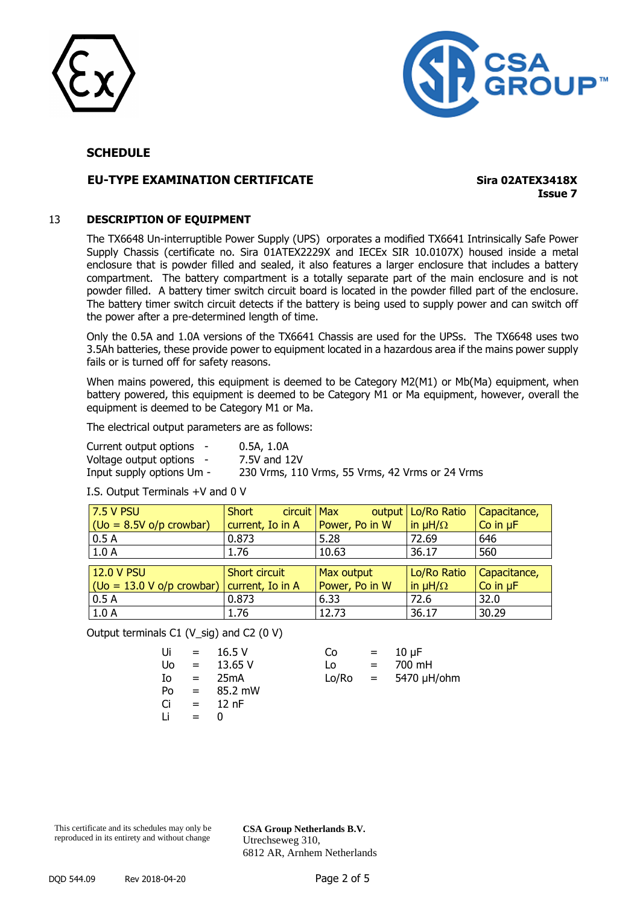



#### **EU-TYPE EXAMINATION CERTIFICATE Sira 02ATEX3418X**

**Issue 7**

#### 13 **DESCRIPTION OF EQUIPMENT**

The TX6648 Un-interruptible Power Supply (UPS) orporates a modified TX6641 Intrinsically Safe Power Supply Chassis (certificate no. Sira 01ATEX2229X and IECEx SIR 10.0107X) housed inside a metal enclosure that is powder filled and sealed, it also features a larger enclosure that includes a battery compartment. The battery compartment is a totally separate part of the main enclosure and is not powder filled. A battery timer switch circuit board is located in the powder filled part of the enclosure. The battery timer switch circuit detects if the battery is being used to supply power and can switch off the power after a pre-determined length of time.

Only the 0.5A and 1.0A versions of the TX6641 Chassis are used for the UPSs. The TX6648 uses two 3.5Ah batteries, these provide power to equipment located in a hazardous area if the mains power supply fails or is turned off for safety reasons.

When mains powered, this equipment is deemed to be Category M2(M1) or Mb(Ma) equipment, when battery powered, this equipment is deemed to be Category M1 or Ma equipment, however, overall the equipment is deemed to be Category M1 or Ma.

The electrical output parameters are as follows:

| Current output options -  | 0.5A, 1.0A                                      |
|---------------------------|-------------------------------------------------|
| Voltage output options -  | 7.5V and 12V                                    |
| Input supply options Um - | 230 Vrms, 110 Vrms, 55 Vrms, 42 Vrms or 24 Vrms |

I.S. Output Terminals +V and 0 V

| <b>7.5 V PSU</b>                                                                  | Short<br>circuit Max |                | output   Lo/Ro Ratio | Capacitance,  |
|-----------------------------------------------------------------------------------|----------------------|----------------|----------------------|---------------|
| $\left( \mathrm{Uo} = 8.5V \, \mathrm{o} \mathrm{/p} \, \mathrm{crowbar} \right)$ | current, Io in A     | Power, Po in W | in $\mu H/\Omega$    | Co in $\mu$ F |
| 0.5A                                                                              | 0.873                | 5.28           | 72.69                | 646           |
| 1.0A                                                                              | 1.76                 | 10.63          | 36.17                | 560           |
|                                                                                   |                      |                |                      |               |
| <b>12.0 V PSU</b>                                                                 | Short circuit        | Max output     | Lo/Ro Ratio          | Capacitance,  |
| $ ($ Uo = 13.0 V o/p crowbar) $ $                                                 | current, Io in A     | Power, Po in W | in $\mu H/\Omega$    | Co in $\mu$ F |
| 0.5A                                                                              | 0.873                | 6.33           | 72.6                 | 32.0          |
| 1.0A                                                                              | 1.76                 | 12.73          | 36.17                | 30.29         |

Output terminals C1 (V\_sig) and C2 (0 V)

| Ui | $=$ | 16.5V   | Co    | $\mathbf{r} = \mathbf{r}$ | $10 \mu F$    |
|----|-----|---------|-------|---------------------------|---------------|
| Uo | $=$ | 13.65 V | Lo    | $=$                       | 700 mH        |
| Io | $=$ | 25mA    | Lo/Ro |                           | = 5470 µH/ohm |
| Po | $=$ | 85.2 mW |       |                           |               |
| Ci | $=$ | 12 nF   |       |                           |               |
| Ιi | $=$ |         |       |                           |               |
|    |     |         |       |                           |               |

| CΟ    | = | $10 \mu F$ |
|-------|---|------------|
| 0.    | = | 700 mH     |
| .o/Ro | = | 5470 µH/oh |

This certificate and its schedules may only be reproduced in its entirety and without change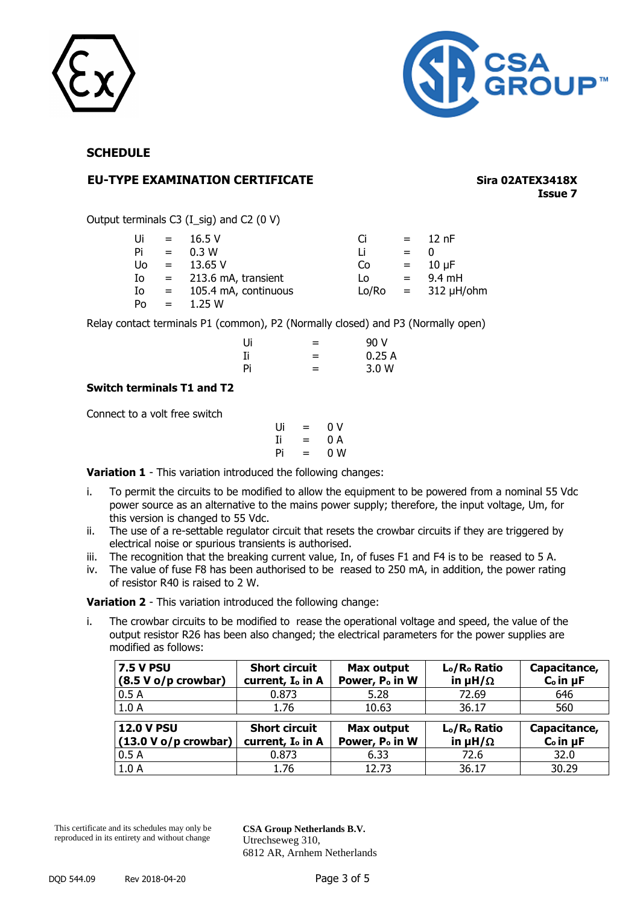



#### **EU-TYPE EXAMINATION CERTIFICATE Sira 02ATEX3418X**

**Issue 7**

Output terminals C3 (I\_sig) and C2 (0 V)

| Ui  | $\mathbf{r} = \mathbf{r}$ | 16.5V                   | Ci    | $=$ $-$                   | 12 $nF$             |
|-----|---------------------------|-------------------------|-------|---------------------------|---------------------|
| Pi  | $\equiv$                  | 0.3 W                   | Li    | $=$                       |                     |
| Uo. | $\mathbf{r} = \mathbf{r}$ | 13.65 V                 | Co    |                           | $= 10 \mu F$        |
| Io  |                           | $= 213.6$ mA, transient | Lo    | $\mathbf{r} = \mathbf{r}$ | 9.4 mH              |
| Io  | $\mathbf{r} = \mathbf{r}$ | 105.4 mA, continuous    | Lo/Ro |                           | $=$ 312 $\mu$ H/ohm |
| Po  | $=$                       | 1.25 W                  |       |                           |                     |

Relay contact terminals P1 (common), P2 (Normally closed) and P3 (Normally open)

| Ui | = | 90 V  |
|----|---|-------|
| Ii | = | 0.25A |
| Pi | = | 3.0 W |

#### **Switch terminals T1 and T2**

Connect to a volt free switch

$$
\begin{array}{ccc}\nUi & = & 0 \ V \\
Ii & = & 0 \ A \\
Pii & = & 0 \ W\n\end{array}
$$

**Variation 1** - This variation introduced the following changes:

- i. To permit the circuits to be modified to allow the equipment to be powered from a nominal 55 Vdc power source as an alternative to the mains power supply; therefore, the input voltage, Um, for this version is changed to 55 Vdc.
- ii. The use of a re-settable regulator circuit that resets the crowbar circuits if they are triggered by electrical noise or spurious transients is authorised.
- iii. The recognition that the breaking current value, In, of fuses F1 and F4 is to be reased to 5 A.
- iv. The value of fuse F8 has been authorised to be reased to 250 mA, in addition, the power rating of resistor R40 is raised to 2 W.

**Variation 2** - This variation introduced the following change:

i. The crowbar circuits to be modified to rease the operational voltage and speed, the value of the output resistor R26 has been also changed; the electrical parameters for the power supplies are modified as follows:

| <b>7.5 V PSU</b><br>$(8.5 V o/p$ crowbar)   | <b>Short circuit</b><br>current, I <sub>o</sub> in A | Max output<br>Power, P <sub>o</sub> in W | L <sub>o</sub> /R <sub>o</sub> Ratio<br>in $\mu H/\Omega$ | Capacitance,<br>$Co$ in $\mu$ F |
|---------------------------------------------|------------------------------------------------------|------------------------------------------|-----------------------------------------------------------|---------------------------------|
| 0.5A                                        | 0.873                                                | 5.28                                     | 72.69                                                     | 646                             |
| 1.0A                                        | 1.76                                                 | 10.63                                    | 36.17                                                     | 560                             |
| <b>12.0 V PSU</b><br>$(13.0 V o/p$ crowbar) | <b>Short circuit</b><br>current, I <sub>o</sub> in A | Max output<br>Power, P <sub>o</sub> in W | L <sub>o</sub> /R <sub>o</sub> Ratio<br>in $\mu H/\Omega$ | Capacitance,<br>$Co$ in $\mu$ F |
| 0.5A                                        | 0.873                                                | 6.33                                     | 72.6                                                      | 32.0                            |
| 1.0A                                        | 1.76                                                 | 12.73                                    | 36.17                                                     | 30.29                           |

This certificate and its schedules may only be reproduced in its entirety and without change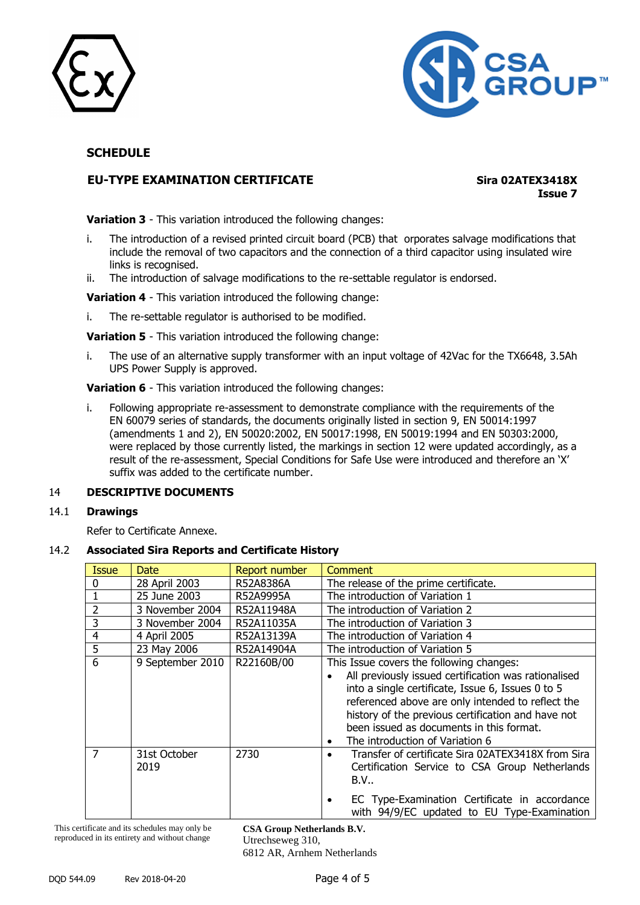



### **EU-TYPE EXAMINATION CERTIFICATE Sira 02ATEX3418X**

**Issue 7**

**Variation 3** - This variation introduced the following changes:

- i. The introduction of a revised printed circuit board (PCB) that orporates salvage modifications that include the removal of two capacitors and the connection of a third capacitor using insulated wire links is recognised.
- ii. The introduction of salvage modifications to the re-settable regulator is endorsed.

**Variation 4** - This variation introduced the following change:

i. The re-settable regulator is authorised to be modified.

**Variation 5** - This variation introduced the following change:

i. The use of an alternative supply transformer with an input voltage of 42Vac for the TX6648, 3.5Ah UPS Power Supply is approved.

**Variation 6** - This variation introduced the following changes:

i. Following appropriate re-assessment to demonstrate compliance with the requirements of the EN 60079 series of standards, the documents originally listed in section 9, EN 50014:1997 (amendments 1 and 2), EN 50020:2002, EN 50017:1998, EN 50019:1994 and EN 50303:2000, were replaced by those currently listed, the markings in section 12 were updated accordingly, as a result of the re-assessment, Special Conditions for Safe Use were introduced and therefore an 'X' suffix was added to the certificate number.

#### 14 **DESCRIPTIVE DOCUMENTS**

#### 14.1 **Drawings**

Refer to Certificate Annexe.

#### 14.2 **Associated Sira Reports and Certificate History**

| <b>Issue</b>   | Date                 | <b>Report number</b> | Comment                                                                                                                                                                                                                                                                                                                                                      |
|----------------|----------------------|----------------------|--------------------------------------------------------------------------------------------------------------------------------------------------------------------------------------------------------------------------------------------------------------------------------------------------------------------------------------------------------------|
| 0              | 28 April 2003        | R52A8386A            | The release of the prime certificate.                                                                                                                                                                                                                                                                                                                        |
|                | 25 June 2003         | R52A9995A            | The introduction of Variation 1                                                                                                                                                                                                                                                                                                                              |
| $\overline{2}$ | 3 November 2004      | R52A11948A           | The introduction of Variation 2                                                                                                                                                                                                                                                                                                                              |
| 3              | 3 November 2004      | R52A11035A           | The introduction of Variation 3                                                                                                                                                                                                                                                                                                                              |
| $\overline{4}$ | 4 April 2005         | R52A13139A           | The introduction of Variation 4                                                                                                                                                                                                                                                                                                                              |
| 5              | 23 May 2006          | R52A14904A           | The introduction of Variation 5                                                                                                                                                                                                                                                                                                                              |
| 6              | 9 September 2010     | R22160B/00           | This Issue covers the following changes:<br>All previously issued certification was rationalised<br>into a single certificate, Issue 6, Issues 0 to 5<br>referenced above are only intended to reflect the<br>history of the previous certification and have not<br>been issued as documents in this format.<br>The introduction of Variation 6<br>$\bullet$ |
| 7              | 31st October<br>2019 | 2730                 | Transfer of certificate Sira 02ATEX3418X from Sira<br>Certification Service to CSA Group Netherlands<br>B.V.,<br>EC Type-Examination Certificate in accordance<br>with 94/9/EC updated to EU Type-Examination                                                                                                                                                |

This certificate and its schedules may only be reproduced in its entirety and without change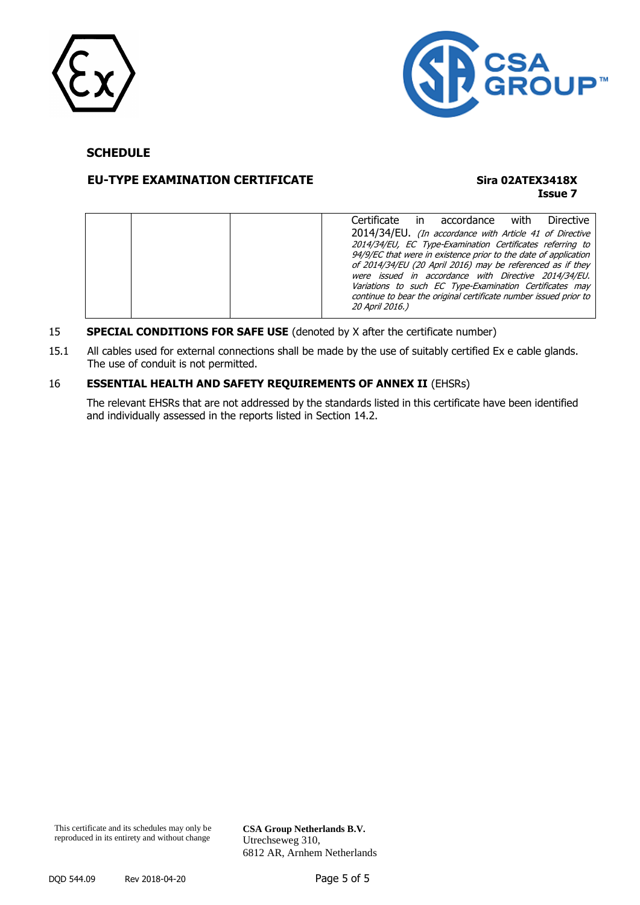



#### **EU-TYPE EXAMINATION CERTIFICATE Sira 02ATEX3418X**

# **Issue 7**

| Certificate in accordance with<br>Directive                                                                                                                                             |
|-----------------------------------------------------------------------------------------------------------------------------------------------------------------------------------------|
| 2014/34/EU. (In accordance with Article 41 of Directive<br>2014/34/EU, EC Type-Examination Certificates referring to<br>94/9/EC that were in existence prior to the date of application |
| of 2014/34/EU (20 April 2016) may be referenced as if they<br>were issued in accordance with Directive 2014/34/EU.                                                                      |
| Variations to such EC Type-Examination Certificates may<br>continue to bear the original certificate number issued prior to<br>20 April 2016.)                                          |

#### 15 **SPECIAL CONDITIONS FOR SAFE USE** (denoted by X after the certificate number)

15.1 All cables used for external connections shall be made by the use of suitably certified Ex e cable glands. The use of conduit is not permitted.

#### 16 **ESSENTIAL HEALTH AND SAFETY REQUIREMENTS OF ANNEX II** (EHSRs)

The relevant EHSRs that are not addressed by the standards listed in this certificate have been identified and individually assessed in the reports listed in Section 14.2.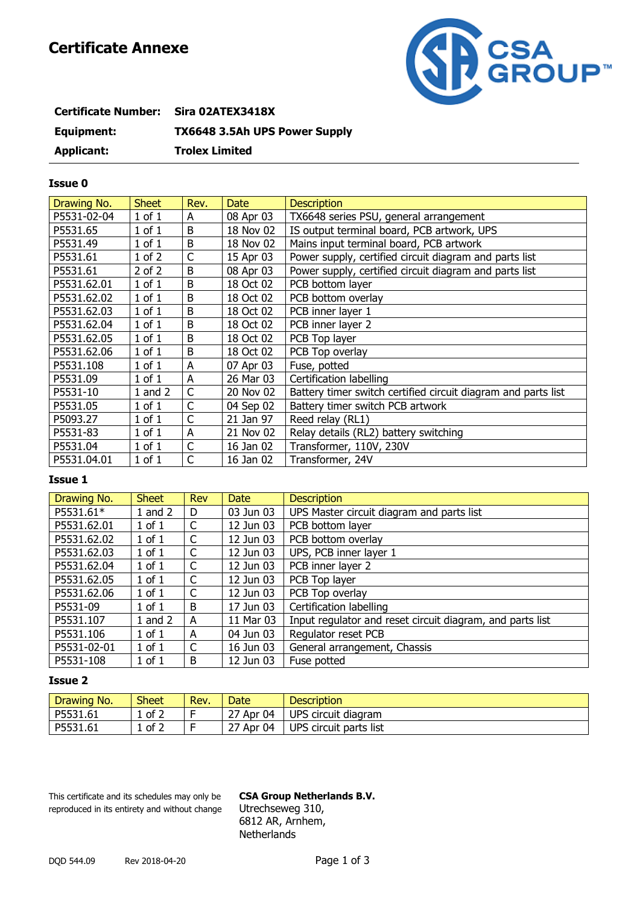# **Certificate Annexe**



| Certificate Number: Sira 02ATEX3418X |                                      |
|--------------------------------------|--------------------------------------|
| Equipment:                           | <b>TX6648 3.5Ah UPS Power Supply</b> |
| Applicant:                           | <b>Trolex Limited</b>                |

#### **Issue 0**

| Drawing No. | <b>Sheet</b> | Rev.         | <b>Date</b> | <b>Description</b>                                            |
|-------------|--------------|--------------|-------------|---------------------------------------------------------------|
| P5531-02-04 | $1$ of $1$   | A            | 08 Apr 03   | TX6648 series PSU, general arrangement                        |
| P5531.65    | $1$ of $1$   | B            | 18 Nov 02   | IS output terminal board, PCB artwork, UPS                    |
| P5531.49    | $1$ of $1$   | B            | 18 Nov 02   | Mains input terminal board, PCB artwork                       |
| P5531.61    | $1$ of $2$   | C            | 15 Apr 03   | Power supply, certified circuit diagram and parts list        |
| P5531.61    | $2$ of $2$   | B            | 08 Apr 03   | Power supply, certified circuit diagram and parts list        |
| P5531.62.01 | $1$ of $1$   | B            | 18 Oct 02   | PCB bottom layer                                              |
| P5531.62.02 | $1$ of $1$   | B            | 18 Oct 02   | PCB bottom overlay                                            |
| P5531.62.03 | $1$ of $1$   | B            | 18 Oct 02   | PCB inner layer 1                                             |
| P5531.62.04 | $1$ of $1$   | B            | 18 Oct 02   | PCB inner layer 2                                             |
| P5531.62.05 | $1$ of $1$   | B            | 18 Oct 02   | PCB Top layer                                                 |
| P5531.62.06 | $1$ of $1$   | B            | 18 Oct 02   | PCB Top overlay                                               |
| P5531.108   | $1$ of $1$   | A            | 07 Apr 03   | Fuse, potted                                                  |
| P5531.09    | $1$ of $1$   | A            | 26 Mar 03   | Certification labelling                                       |
| P5531-10    | 1 and 2      | C            | 20 Nov 02   | Battery timer switch certified circuit diagram and parts list |
| P5531.05    | $1$ of $1$   | $\mathsf C$  | 04 Sep 02   | Battery timer switch PCB artwork                              |
| P5093.27    | $1$ of $1$   | $\mathsf{C}$ | 21 Jan 97   | Reed relay (RL1)                                              |
| P5531-83    | $1$ of $1$   | A            | 21 Nov 02   | Relay details (RL2) battery switching                         |
| P5531.04    | $1$ of $1$   | $\mathsf{C}$ | 16 Jan 02   | Transformer, 110V, 230V                                       |
| P5531.04.01 | $1$ of $1$   | C            | 16 Jan 02   | Transformer, 24V                                              |

#### **Issue 1**

| Drawing No. | <b>Sheet</b> | Rev | <b>Date</b> | <b>Description</b>                                        |
|-------------|--------------|-----|-------------|-----------------------------------------------------------|
| P5531.61*   | $1$ and $2$  | D   | 03 Jun 03   | UPS Master circuit diagram and parts list                 |
| P5531.62.01 | $1$ of $1$   | C   | 12 Jun 03   | PCB bottom layer                                          |
| P5531.62.02 | $1$ of $1$   | C   | 12 Jun 03   | PCB bottom overlay                                        |
| P5531.62.03 | $1$ of $1$   | C   | 12 Jun 03   | UPS, PCB inner layer 1                                    |
| P5531.62.04 | $1$ of $1$   | C   | 12 Jun 03   | PCB inner layer 2                                         |
| P5531.62.05 | $1$ of $1$   | C   | 12 Jun 03   | PCB Top layer                                             |
| P5531.62.06 | $1$ of $1$   | C   | 12 Jun 03   | PCB Top overlay                                           |
| P5531-09    | $1$ of $1$   | B   | 17 Jun 03   | Certification labelling                                   |
| P5531.107   | 1 and $2$    | A   | 11 Mar 03   | Input regulator and reset circuit diagram, and parts list |
| P5531.106   | $1$ of $1$   | A   | 04 Jun 03   | Regulator reset PCB                                       |
| P5531-02-01 | $1$ of $1$   | C   | 16 Jun 03   | General arrangement, Chassis                              |
| P5531-108   | $1$ of $1$   | B   | 12 Jun 03   | Fuse potted                                               |

#### **Issue 2**

| Drawing No. | <b>Sheet</b> | Rev. | Date         | <b>Description</b>     |
|-------------|--------------|------|--------------|------------------------|
| P5531.61    | of 2         |      | Apr 04<br>رے | UPS circuit diagram    |
| P5531.61    | of 2         |      | Apr 04<br>رے | UPS circuit parts list |

This certificate and its schedules may only be **CSA Group Netherlands B.V.** reproduced in its entirety and without change Utrechseweg 310,

6812 AR, Arnhem, **Netherlands**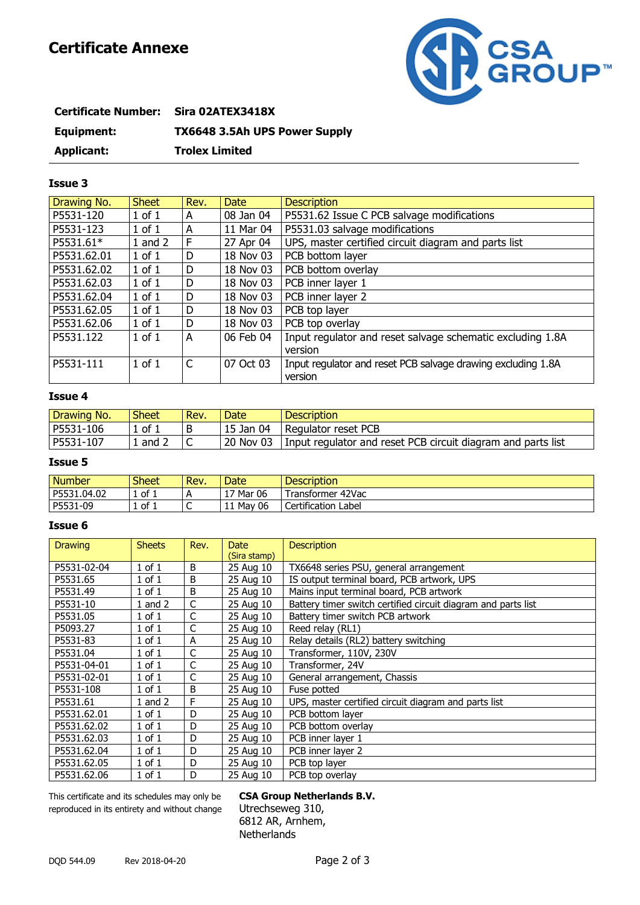

| Certificate Number: Sira 02ATEX3418X |                                      |
|--------------------------------------|--------------------------------------|
| Equipment:                           | <b>TX6648 3.5Ah UPS Power Supply</b> |
| Applicant:                           | <b>Trolex Limited</b>                |

#### **Issue 3**

| Drawing No. | <b>Sheet</b> | Rev. | <b>Date</b> | <b>Description</b>                                           |
|-------------|--------------|------|-------------|--------------------------------------------------------------|
| P5531-120   | $1$ of $1$   | A    | 08 Jan 04   | P5531.62 Issue C PCB salvage modifications                   |
| P5531-123   | $1$ of $1$   | A    | 11 Mar 04   | P5531.03 salvage modifications                               |
| P5531.61*   | 1 and $2$    | F    | 27 Apr 04   | UPS, master certified circuit diagram and parts list         |
| P5531.62.01 | $1$ of $1$   | D    | 18 Nov 03   | PCB bottom layer                                             |
| P5531.62.02 | $1$ of $1$   | D    | 18 Nov 03   | PCB bottom overlay                                           |
| P5531.62.03 | $1$ of $1$   | D    | 18 Nov 03   | PCB inner layer 1                                            |
| P5531.62.04 | $1$ of $1$   | D    | 18 Nov 03   | PCB inner layer 2                                            |
| P5531.62.05 | $1$ of $1$   | D    | 18 Nov 03   | PCB top layer                                                |
| P5531.62.06 | $1$ of $1$   | D    | 18 Nov 03   | PCB top overlay                                              |
| P5531.122   | $1$ of $1$   | A    | 06 Feb 04   | Input regulator and reset salvage schematic excluding 1.8A   |
|             |              |      |             | version                                                      |
| P5531-111   | $1$ of $1$   | C    | 07 Oct 03   | Input regulator and reset PCB salvage drawing excluding 1.8A |
|             |              |      |             | version                                                      |

#### **Issue 4**

| Drawing No. | <b>Sheet</b> | Rev. | Date      | <b>Description</b>                                             |
|-------------|--------------|------|-----------|----------------------------------------------------------------|
| P5531-106   | . of ⊺       | в    | 15 Jan 04 | l Regulator reset PCB                                          |
| P5531-107   | and          |      | 20 Nov 03 | I Input regulator and reset PCB circuit diagram and parts list |

#### **Issue 5**

| <b>Number</b> | Sheet  | Rev.           | Date            | <b>Description</b>                |
|---------------|--------|----------------|-----------------|-----------------------------------|
| P5531.04.02   | 1 of 1 | $\overline{A}$ | 17 Mar 06<br>д, | Transformer 42Vac                 |
| P5531<br>1-09 | 1 of 1 | ∼              | 06<br>11 Mav    | ertification.<br>-<br>Label<br>◡◡ |

#### **Issue 6**

| <b>Drawing</b> | <b>Sheets</b> | Rev. | <b>Date</b><br>(Sira stamp) | <b>Description</b>                                            |
|----------------|---------------|------|-----------------------------|---------------------------------------------------------------|
| P5531-02-04    | $1$ of $1$    | B    | 25 Aug 10                   | TX6648 series PSU, general arrangement                        |
| P5531.65       | $1$ of $1$    | B    | 25 Aug 10                   | IS output terminal board, PCB artwork, UPS                    |
| P5531.49       | $1$ of $1$    | B    | 25 Aug 10                   | Mains input terminal board, PCB artwork                       |
| P5531-10       | 1 and $2$     | C    | 25 Aug 10                   | Battery timer switch certified circuit diagram and parts list |
| P5531.05       | $1$ of $1$    | C    | 25 Aug 10                   | Battery timer switch PCB artwork                              |
| P5093.27       | $1$ of $1$    | C    | 25 Aug 10                   | Reed relay (RL1)                                              |
| P5531-83       | $1$ of $1$    | A    | 25 Aug 10                   | Relay details (RL2) battery switching                         |
| P5531.04       | $1$ of $1$    | C    | 25 Aug 10                   | Transformer, 110V, 230V                                       |
| P5531-04-01    | $1$ of $1$    | C    | 25 Aug 10                   | Transformer, 24V                                              |
| P5531-02-01    | $1$ of $1$    | C    | 25 Aug 10                   | General arrangement, Chassis                                  |
| P5531-108      | $1$ of $1$    | B    | 25 Aug 10                   | Fuse potted                                                   |
| P5531.61       | 1 and $2$     | F    | 25 Aug 10                   | UPS, master certified circuit diagram and parts list          |
| P5531.62.01    | $1$ of $1$    | D    | 25 Aug 10                   | PCB bottom layer                                              |
| P5531.62.02    | $1$ of $1$    | D    | 25 Aug 10                   | PCB bottom overlay                                            |
| P5531.62.03    | $1$ of $1$    | D    | 25 Aug 10                   | PCB inner layer 1                                             |
| P5531.62.04    | $1$ of $1$    | D    | 25 Aug 10                   | PCB inner layer 2                                             |
| P5531.62.05    | $1$ of $1$    | D    | 25 Aug 10                   | PCB top layer                                                 |
| P5531.62.06    | $1$ of $1$    | D    | 25 Aug 10                   | PCB top overlay                                               |

This certificate and its schedules may only be **CSA Group Netherlands B.V.** reproduced in its entirety and without change Utrechseweg 310,

6812 AR, Arnhem, **Netherlands**